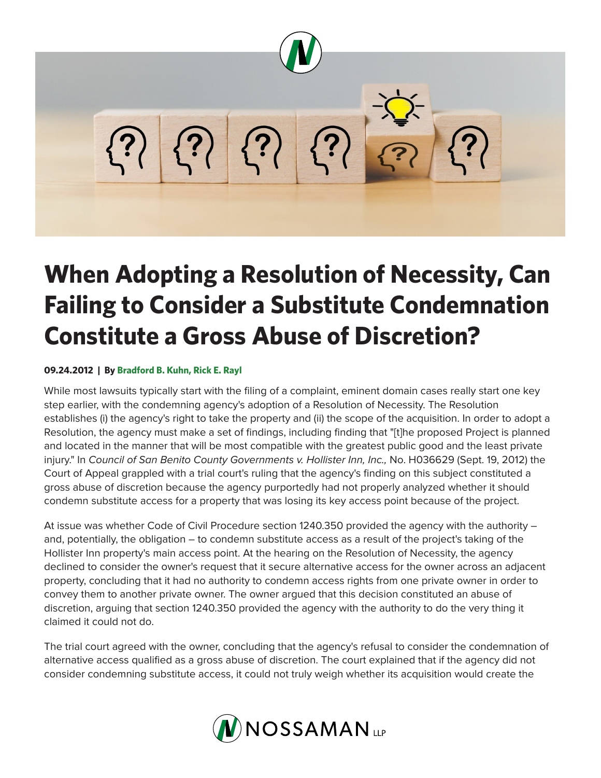

# **When Adopting a Resolution of Necessity, Can Failing to Consider a Substitute Condemnation Constitute a Gross Abuse of Discretion?**

## **09.24.2012 | By Bradford B. Kuhn, Rick E. Rayl**

While most lawsuits typically start with the filing of a complaint, eminent domain cases really start one key step earlier, with the condemning agency's adoption of a Resolution of Necessity. The Resolution establishes (i) the agency's right to take the property and (ii) the scope of the acquisition. In order to adopt a Resolution, the agency must make a set of findings, including finding that "[t]he proposed Project is planned and located in the manner that will be most compatible with the greatest public good and the least private injury." In *Council of San Benito County Governments v. Hollister Inn, Inc.,* No. H036629 (Sept. 19, 2012) the Court of Appeal grappled with a trial court's ruling that the agency's finding on this subject constituted a gross abuse of discretion because the agency purportedly had not properly analyzed whether it should condemn substitute access for a property that was losing its key access point because of the project.

At issue was whether Code of Civil Procedure section 1240.350 provided the agency with the authority – and, potentially, the obligation – to condemn substitute access as a result of the project's taking of the Hollister Inn property's main access point. At the hearing on the Resolution of Necessity, the agency declined to consider the owner's request that it secure alternative access for the owner across an adjacent property, concluding that it had no authority to condemn access rights from one private owner in order to convey them to another private owner. The owner argued that this decision constituted an abuse of discretion, arguing that section 1240.350 provided the agency with the authority to do the very thing it claimed it could not do.

The trial court agreed with the owner, concluding that the agency's refusal to consider the condemnation of alternative access qualified as a gross abuse of discretion. The court explained that if the agency did not consider condemning substitute access, it could not truly weigh whether its acquisition would create the

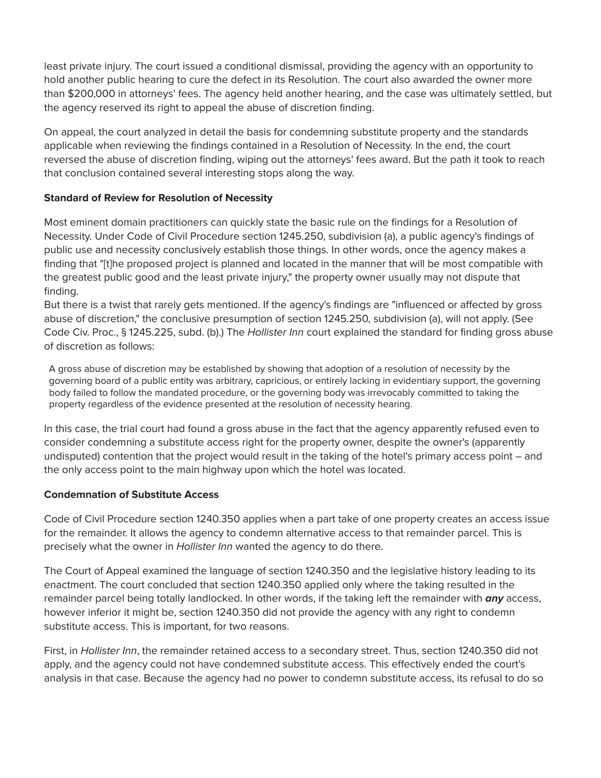least private injury. The court issued a conditional dismissal, providing the agency with an opportunity to hold another public hearing to cure the defect in its Resolution. The court also awarded the owner more than \$200,000 in attorneys' fees. The agency held another hearing, and the case was ultimately settled, but the agency reserved its right to appeal the abuse of discretion finding.

On appeal, the court analyzed in detail the basis for condemning substitute property and the standards applicable when reviewing the findings contained in a Resolution of Necessity. In the end, the court reversed the abuse of discretion finding, wiping out the attorneys' fees award. But the path it took to reach that conclusion contained several interesting stops along the way.

## **Standard of Review for Resolution of Necessity**

Most eminent domain practitioners can quickly state the basic rule on the findings for a Resolution of Necessity. Under Code of Civil Procedure section 1245.250, subdivision (a), a public agency's findings of public use and necessity conclusively establish those things. In other words, once the agency makes a finding that "[t]he proposed project is planned and located in the manner that will be most compatible with the greatest public good and the least private injury," the property owner usually may not dispute that finding.

But there is a twist that rarely gets mentioned. If the agency's findings are "influenced or affected by gross abuse of discretion," the conclusive presumption of section 1245.250, subdivision (a), will not apply. (See Code Civ. Proc., § 1245.225, subd. (b).) The *Hollister Inn* court explained the standard for finding gross abuse of discretion as follows:

A gross abuse of discretion may be established by showing that adoption of a resolution of necessity by the governing board of a public entity was arbitrary, capricious, or entirely lacking in evidentiary support, the governing body failed to follow the mandated procedure, or the governing body was irrevocably committed to taking the property regardless of the evidence presented at the resolution of necessity hearing.

In this case, the trial court had found a gross abuse in the fact that the agency apparently refused even to consider condemning a substitute access right for the property owner, despite the owner's (apparently undisputed) contention that the project would result in the taking of the hotel's primary access point – and the only access point to the main highway upon which the hotel was located.

## **Condemnation of Substitute Access**

Code of Civil Procedure section 1240.350 applies when a part take of one property creates an access issue for the remainder. It allows the agency to condemn alternative access to that remainder parcel. This is precisely what the owner in *Hollister Inn* wanted the agency to do there.

The Court of Appeal examined the language of section 1240.350 and the legislative history leading to its enactment. The court concluded that section 1240.350 applied only where the taking resulted in the remainder parcel being totally landlocked. In other words, if the taking left the remainder with *any* access, however inferior it might be, section 1240.350 did not provide the agency with any right to condemn substitute access. This is important, for two reasons.

First, in *Hollister Inn*, the remainder retained access to a secondary street. Thus, section 1240.350 did not apply, and the agency could not have condemned substitute access. This effectively ended the court's analysis in that case. Because the agency had no power to condemn substitute access, its refusal to do so